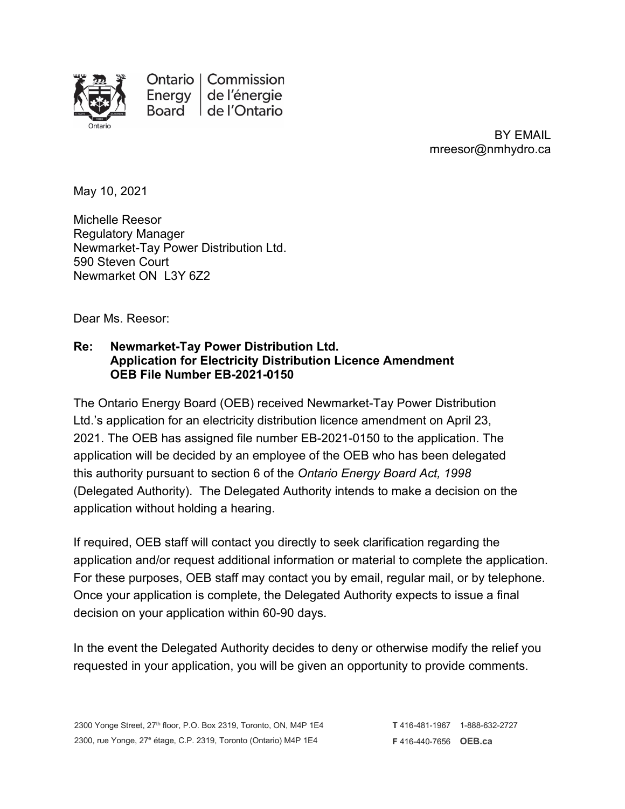

Ontario | Commission Energy de l'énergie Board de l'Ontario

> BY EMAIL mreesor@nmhydro.ca

May 10, 2021

Michelle Reesor Regulatory Manager Newmarket-Tay Power Distribution Ltd. 590 Steven Court Newmarket ON L3Y 6Z2

Dear Ms. Reesor:

## **Re: Newmarket-Tay Power Distribution Ltd. Application for Electricity Distribution Licence Amendment OEB File Number EB-2021-0150**

The Ontario Energy Board (OEB) received Newmarket-Tay Power Distribution Ltd.'s application for an electricity distribution licence amendment on April 23, 2021. The OEB has assigned file number EB-2021-0150 to the application. The application will be decided by an employee of the OEB who has been delegated this authority pursuant to section 6 of the *Ontario Energy Board Act, 1998*  (Delegated Authority). The Delegated Authority intends to make a decision on the application without holding a hearing.

If required, OEB staff will contact you directly to seek clarification regarding the application and/or request additional information or material to complete the application. For these purposes, OEB staff may contact you by email, regular mail, or by telephone. Once your application is complete, the Delegated Authority expects to issue a final decision on your application within 60-90 days.

In the event the Delegated Authority decides to deny or otherwise modify the relief you requested in your application, you will be given an opportunity to provide comments.